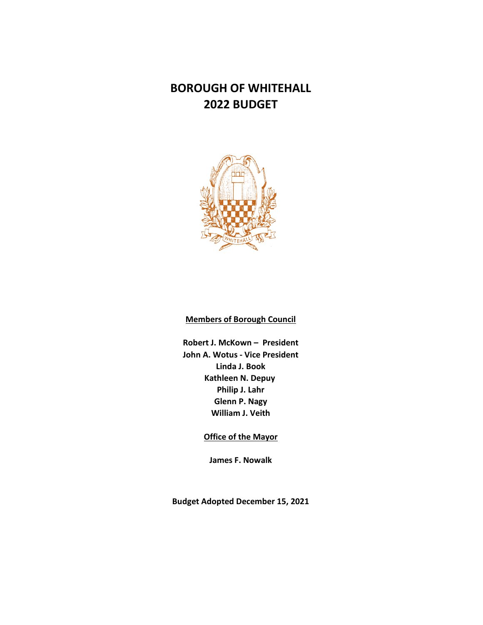

## **Members of Borough Council**

**Robert J. McKown – President John A. Wotus - Vice President Linda J. Book Kathleen N. Depuy Philip J. Lahr Glenn P. Nagy William J. Veith**

**Office of the Mayor**

**James F. Nowalk**

**Budget Adopted December 15, 2021**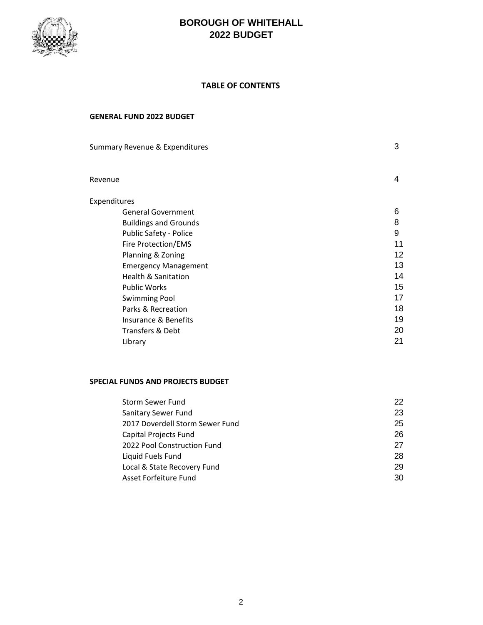

#### **TABLE OF CONTENTS**

#### **GENERAL FUND 2022 BUDGET**

| Summary Revenue & Expenditures | 3  |
|--------------------------------|----|
| Revenue                        | 4  |
| Expenditures                   |    |
| <b>General Government</b>      | 6  |
| <b>Buildings and Grounds</b>   | 8  |
| <b>Public Safety - Police</b>  | 9  |
| Fire Protection/EMS            | 11 |
| Planning & Zoning              | 12 |
| <b>Emergency Management</b>    | 13 |
| <b>Health &amp; Sanitation</b> | 14 |
| <b>Public Works</b>            | 15 |
| <b>Swimming Pool</b>           | 17 |
| Parks & Recreation             | 18 |
| Insurance & Benefits           | 19 |
| Transfers & Debt               | 20 |
| Library                        | 21 |
|                                |    |

## **SPECIAL FUNDS AND PROJECTS BUDGET**

| Storm Sewer Fund                | 22 |
|---------------------------------|----|
| Sanitary Sewer Fund             | 23 |
| 2017 Doverdell Storm Sewer Fund | 25 |
| Capital Projects Fund           | 26 |
| 2022 Pool Construction Fund     | 27 |
| Liquid Fuels Fund               | 28 |
| Local & State Recovery Fund     | 29 |
| Asset Forfeiture Fund           | 30 |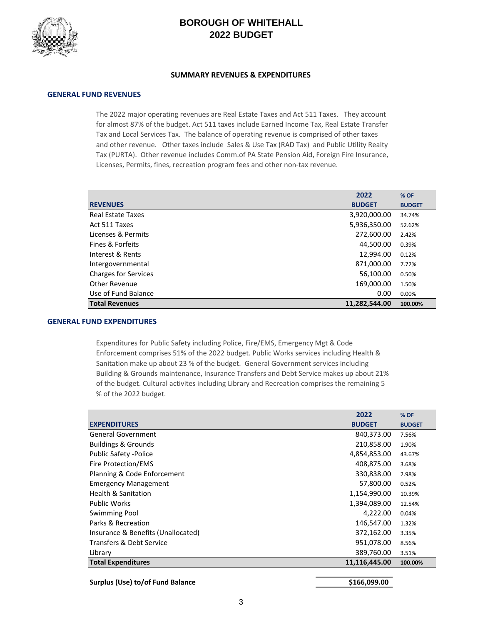

#### **SUMMARY REVENUES & EXPENDITURES**

#### **GENERAL FUND REVENUES**

The 2022 major operating revenues are Real Estate Taxes and Act 511 Taxes. They account for almost 87% of the budget. Act 511 taxes include Earned Income Tax, Real Estate Transfer Tax and Local Services Tax. The balance of operating revenue is comprised of other taxes and other revenue. Other taxes include Sales & Use Tax (RAD Tax) and Public Utility Realty Tax (PURTA). Other revenue includes Comm.of PA State Pension Aid, Foreign Fire Insurance, Licenses, Permits, fines, recreation program fees and other non-tax revenue.

|                             | 2022          | % OF          |
|-----------------------------|---------------|---------------|
| <b>REVENUES</b>             | <b>BUDGET</b> | <b>BUDGET</b> |
| <b>Real Estate Taxes</b>    | 3,920,000.00  | 34.74%        |
| Act 511 Taxes               | 5,936,350.00  | 52.62%        |
| Licenses & Permits          | 272,600.00    | 2.42%         |
| <b>Fines &amp; Forfeits</b> | 44,500.00     | 0.39%         |
| Interest & Rents            | 12,994.00     | 0.12%         |
| Intergovernmental           | 871,000.00    | 7.72%         |
| <b>Charges for Services</b> | 56,100.00     | 0.50%         |
| Other Revenue               | 169,000.00    | 1.50%         |
| Use of Fund Balance         | 0.00          | 0.00%         |
| <b>Total Revenues</b>       | 11,282,544.00 | 100.00%       |

#### **GENERAL FUND EXPENDITURES**

Expenditures for Public Safety including Police, Fire/EMS, Emergency Mgt & Code Enforcement comprises 51% of the 2022 budget. Public Works services including Health & Sanitation make up about 23 % of the budget. General Government services including Building & Grounds maintenance, Insurance Transfers and Debt Service makes up about 21% of the budget. Cultural activites including Library and Recreation comprises the remaining 5 % of the 2022 budget.

|                                     | 2022          | % OF          |
|-------------------------------------|---------------|---------------|
| <b>EXPENDITURES</b>                 | <b>BUDGET</b> | <b>BUDGET</b> |
| <b>General Government</b>           | 840,373.00    | 7.56%         |
| <b>Buildings &amp; Grounds</b>      | 210,858.00    | 1.90%         |
| <b>Public Safety -Police</b>        | 4,854,853.00  | 43.67%        |
| Fire Protection/EMS                 | 408,875.00    | 3.68%         |
| Planning & Code Enforcement         | 330,838.00    | 2.98%         |
| <b>Emergency Management</b>         | 57,800.00     | 0.52%         |
| <b>Health &amp; Sanitation</b>      | 1,154,990.00  | 10.39%        |
| <b>Public Works</b>                 | 1,394,089.00  | 12.54%        |
| <b>Swimming Pool</b>                | 4,222.00      | 0.04%         |
| Parks & Recreation                  | 146,547.00    | 1.32%         |
| Insurance & Benefits (Unallocated)  | 372,162.00    | 3.35%         |
| <b>Transfers &amp; Debt Service</b> | 951,078.00    | 8.56%         |
| Library                             | 389,760.00    | 3.51%         |
| <b>Total Expenditures</b>           | 11,116,445.00 | 100.00%       |
| Surplus (Use) to/of Fund Balance    | \$166,099.00  |               |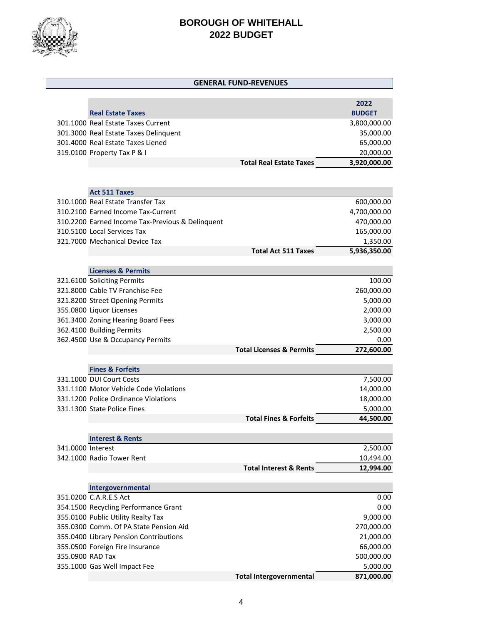

|                   |                                                  | <b>GENERAL FUND-REVENUES</b>        |               |
|-------------------|--------------------------------------------------|-------------------------------------|---------------|
|                   |                                                  |                                     |               |
|                   |                                                  |                                     | 2022          |
|                   | <b>Real Estate Taxes</b>                         |                                     | <b>BUDGET</b> |
|                   | 301.1000 Real Estate Taxes Current               |                                     | 3,800,000.00  |
|                   | 301.3000 Real Estate Taxes Delinquent            |                                     | 35,000.00     |
|                   | 301.4000 Real Estate Taxes Liened                |                                     | 65,000.00     |
|                   | 319.0100 Property Tax P & I                      |                                     | 20,000.00     |
|                   |                                                  | <b>Total Real Estate Taxes</b>      | 3,920,000.00  |
|                   |                                                  |                                     |               |
|                   |                                                  |                                     |               |
|                   | <b>Act 511 Taxes</b>                             |                                     |               |
|                   | 310.1000 Real Estate Transfer Tax                |                                     | 600,000.00    |
|                   | 310.2100 Earned Income Tax-Current               |                                     | 4,700,000.00  |
|                   | 310.2200 Earned Income Tax-Previous & Delinquent |                                     | 470,000.00    |
|                   | 310.5100 Local Services Tax                      |                                     | 165,000.00    |
|                   | 321.7000 Mechanical Device Tax                   |                                     | 1,350.00      |
|                   |                                                  | <b>Total Act 511 Taxes</b>          | 5,936,350.00  |
|                   |                                                  |                                     |               |
|                   | <b>Licenses &amp; Permits</b>                    |                                     |               |
|                   | 321.6100 Soliciting Permits                      |                                     | 100.00        |
|                   | 321,8000 Cable TV Franchise Fee                  |                                     | 260,000.00    |
|                   | 321.8200 Street Opening Permits                  |                                     | 5,000.00      |
|                   | 355.0800 Liquor Licenses                         |                                     | 2,000.00      |
|                   | 361.3400 Zoning Hearing Board Fees               |                                     | 3,000.00      |
|                   | 362.4100 Building Permits                        |                                     | 2,500.00      |
|                   | 362.4500 Use & Occupancy Permits                 |                                     | 0.00          |
|                   |                                                  | <b>Total Licenses &amp; Permits</b> | 272,600.00    |
|                   |                                                  |                                     |               |
|                   | <b>Fines &amp; Forfeits</b>                      |                                     |               |
|                   | 331.1000 DUI Court Costs                         |                                     | 7,500.00      |
|                   | 331.1100 Motor Vehicle Code Violations           |                                     | 14,000.00     |
|                   | 331.1200 Police Ordinance Violations             |                                     | 18,000.00     |
|                   | 331.1300 State Police Fines                      |                                     | 5,000.00      |
|                   |                                                  | <b>Total Fines &amp; Forfeits</b>   | 44,500.00     |
|                   |                                                  |                                     |               |
| 341.0000 Interest | <b>Interest &amp; Rents</b>                      |                                     | 2,500.00      |
|                   | 342.1000 Radio Tower Rent                        |                                     | 10,494.00     |
|                   |                                                  | <b>Total Interest &amp; Rents</b>   | 12,994.00     |
|                   |                                                  |                                     |               |
|                   | Intergovernmental                                |                                     |               |
|                   | 351.0200 C.A.R.E.S Act                           |                                     | 0.00          |
|                   | 354.1500 Recycling Performance Grant             |                                     | 0.00          |
|                   | 355.0100 Public Utility Realty Tax               |                                     | 9,000.00      |
|                   | 355.0300 Comm. Of PA State Pension Aid           |                                     | 270,000.00    |
|                   | 355.0400 Library Pension Contributions           |                                     | 21,000.00     |
|                   | 355.0500 Foreign Fire Insurance                  |                                     | 66,000.00     |
| 355.0900 RAD Tax  |                                                  |                                     | 500,000.00    |
|                   | 355.1000 Gas Well Impact Fee                     |                                     | 5,000.00      |
|                   |                                                  | <b>Total Intergovernmental</b>      | 871,000.00    |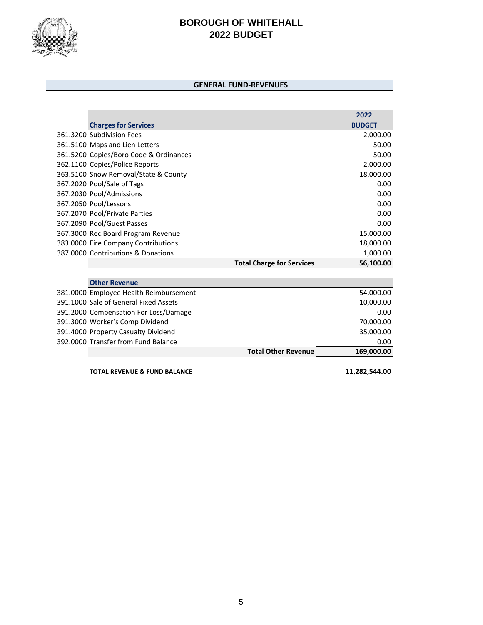

#### **GENERAL FUND-REVENUES**

|                                        |                                  | 2022          |
|----------------------------------------|----------------------------------|---------------|
| <b>Charges for Services</b>            |                                  | <b>BUDGET</b> |
| 361.3200 Subdivision Fees              |                                  | 2,000.00      |
| 361.5100 Maps and Lien Letters         |                                  | 50.00         |
| 361.5200 Copies/Boro Code & Ordinances |                                  | 50.00         |
| 362.1100 Copies/Police Reports         |                                  | 2,000.00      |
| 363.5100 Snow Removal/State & County   |                                  | 18,000.00     |
| 367.2020 Pool/Sale of Tags             |                                  | 0.00          |
| 367.2030 Pool/Admissions               |                                  | 0.00          |
| 367.2050 Pool/Lessons                  |                                  | 0.00          |
| 367.2070 Pool/Private Parties          |                                  | 0.00          |
| 367.2090 Pool/Guest Passes             |                                  | 0.00          |
| 367.3000 Rec.Board Program Revenue     |                                  | 15,000.00     |
| 383.0000 Fire Company Contributions    |                                  | 18,000.00     |
| 387,0000 Contributions & Donations     |                                  | 1,000.00      |
|                                        | <b>Total Charge for Services</b> | 56,100.00     |
|                                        |                                  |               |
| <b>Other Revenue</b>                   |                                  |               |
| 381.0000 Employee Health Reimbursement |                                  | 54,000.00     |
| 391.1000 Sale of General Fixed Assets  |                                  | 10,000.00     |
| 391.2000 Compensation For Loss/Damage  |                                  | 0.00          |
| 391.3000 Worker's Comp Dividend        |                                  | 70,000.00     |
| 391.4000 Property Casualty Dividend    |                                  | 35,000.00     |
| 392,0000 Transfer from Fund Balance    |                                  | 0.00          |
|                                        | <b>Total Other Revenue</b>       | 169,000.00    |
|                                        |                                  |               |

**TOTAL REVENUE & FUND BALANCE 11,282,544.00**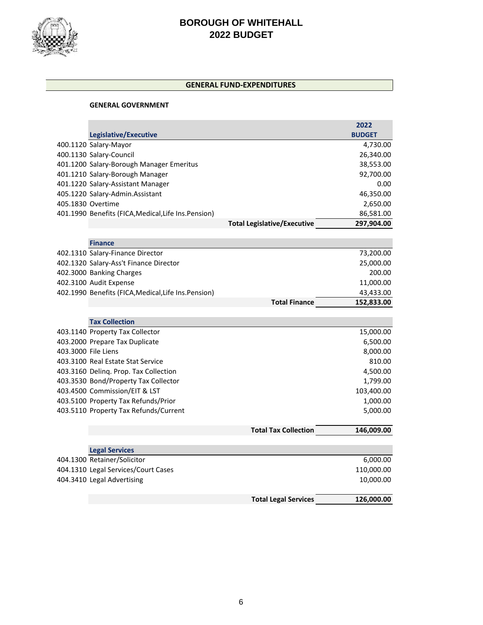

#### **GENERAL FUND-EXPENDITURES**

#### **GENERAL GOVERNMENT**

|                     |                                                      |                                    | 2022          |
|---------------------|------------------------------------------------------|------------------------------------|---------------|
|                     | Legislative/Executive                                |                                    | <b>BUDGET</b> |
|                     | 400.1120 Salary-Mayor                                |                                    | 4,730.00      |
|                     | 400.1130 Salary-Council                              |                                    | 26,340.00     |
|                     | 401.1200 Salary-Borough Manager Emeritus             |                                    | 38,553.00     |
|                     | 401.1210 Salary-Borough Manager                      |                                    | 92,700.00     |
|                     | 401.1220 Salary-Assistant Manager                    |                                    | 0.00          |
|                     | 405.1220 Salary-Admin.Assistant                      |                                    | 46,350.00     |
|                     | 405.1830 Overtime                                    |                                    | 2,650.00      |
|                     | 401.1990 Benefits (FICA, Medical, Life Ins. Pension) |                                    | 86,581.00     |
|                     |                                                      | <b>Total Legislative/Executive</b> | 297,904.00    |
|                     |                                                      |                                    |               |
|                     | <b>Finance</b>                                       |                                    |               |
|                     | 402.1310 Salary-Finance Director                     |                                    | 73,200.00     |
|                     | 402.1320 Salary-Ass't Finance Director               |                                    | 25,000.00     |
|                     | 402.3000 Banking Charges                             |                                    | 200.00        |
|                     | 402.3100 Audit Expense                               |                                    | 11,000.00     |
|                     | 402.1990 Benefits (FICA, Medical, Life Ins. Pension) |                                    | 43,433.00     |
|                     |                                                      | <b>Total Finance</b>               | 152,833.00    |
|                     | <b>Tax Collection</b>                                |                                    |               |
|                     | 403.1140 Property Tax Collector                      |                                    | 15,000.00     |
|                     | 403.2000 Prepare Tax Duplicate                       |                                    | 6,500.00      |
| 403.3000 File Liens |                                                      |                                    | 8,000.00      |
|                     | 403.3100 Real Estate Stat Service                    |                                    | 810.00        |
|                     | 403.3160 Deling. Prop. Tax Collection                |                                    | 4,500.00      |
|                     | 403.3530 Bond/Property Tax Collector                 |                                    | 1,799.00      |
|                     | 403.4500 Commission/EIT & LST                        |                                    | 103,400.00    |
|                     | 403.5100 Property Tax Refunds/Prior                  |                                    | 1,000.00      |
|                     | 403.5110 Property Tax Refunds/Current                |                                    | 5,000.00      |
|                     |                                                      |                                    |               |
|                     |                                                      | <b>Total Tax Collection</b>        | 146,009.00    |
|                     |                                                      |                                    |               |
|                     | <b>Legal Services</b>                                |                                    |               |
|                     | 404.1300 Retainer/Solicitor                          |                                    | 6,000.00      |
|                     | 404.1310 Legal Services/Court Cases                  |                                    | 110,000.00    |
|                     | 404.3410 Legal Advertising                           |                                    | 10,000.00     |
|                     |                                                      | <b>Total Legal Services</b>        | 126,000.00    |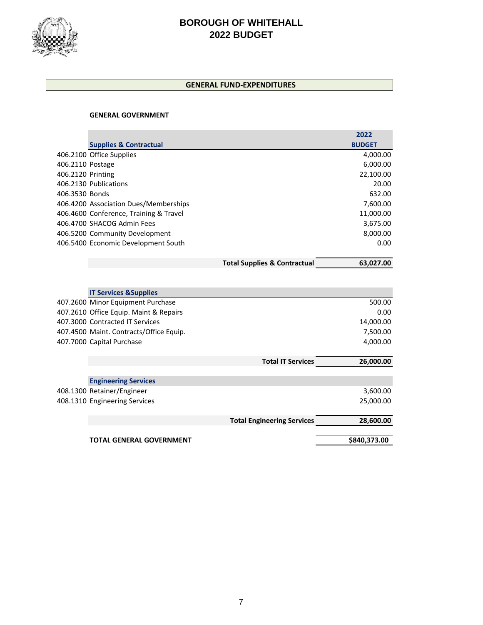

#### **GENERAL FUND-EXPENDITURES**

#### **GENERAL GOVERNMENT**

|                   |                                         |                                         | 2022          |
|-------------------|-----------------------------------------|-----------------------------------------|---------------|
|                   | <b>Supplies &amp; Contractual</b>       |                                         | <b>BUDGET</b> |
|                   | 406.2100 Office Supplies                |                                         | 4,000.00      |
| 406.2110 Postage  |                                         |                                         | 6,000.00      |
| 406.2120 Printing |                                         |                                         | 22,100.00     |
|                   | 406.2130 Publications                   |                                         | 20.00         |
| 406.3530 Bonds    |                                         |                                         | 632.00        |
|                   | 406.4200 Association Dues/Memberships   |                                         | 7,600.00      |
|                   | 406.4600 Conference, Training & Travel  |                                         | 11,000.00     |
|                   | 406.4700 SHACOG Admin Fees              |                                         | 3,675.00      |
|                   | 406.5200 Community Development          |                                         | 8,000.00      |
|                   | 406.5400 Economic Development South     |                                         | 0.00          |
|                   |                                         | <b>Total Supplies &amp; Contractual</b> | 63,027.00     |
|                   |                                         |                                         |               |
|                   |                                         |                                         |               |
|                   | <b>IT Services &amp; Supplies</b>       |                                         |               |
|                   | 407.2600 Minor Equipment Purchase       |                                         | 500.00        |
|                   | 407.2610 Office Equip. Maint & Repairs  |                                         | 0.00          |
|                   | 407.3000 Contracted IT Services         |                                         | 14,000.00     |
|                   | 407.4500 Maint. Contracts/Office Equip. |                                         | 7,500.00      |
|                   | 407.7000 Capital Purchase               |                                         | 4,000.00      |
|                   |                                         | <b>Total IT Services</b>                | 26,000.00     |
|                   |                                         |                                         |               |
|                   | <b>Engineering Services</b>             |                                         |               |
|                   | 408.1300 Retainer/Engineer              |                                         | 3,600.00      |
|                   | 408.1310 Engineering Services           |                                         | 25,000.00     |
|                   |                                         | <b>Total Engineering Services</b>       | 28,600.00     |
|                   |                                         |                                         |               |
|                   | <b>TOTAL GENERAL GOVERNMENT</b>         |                                         | \$840,373.00  |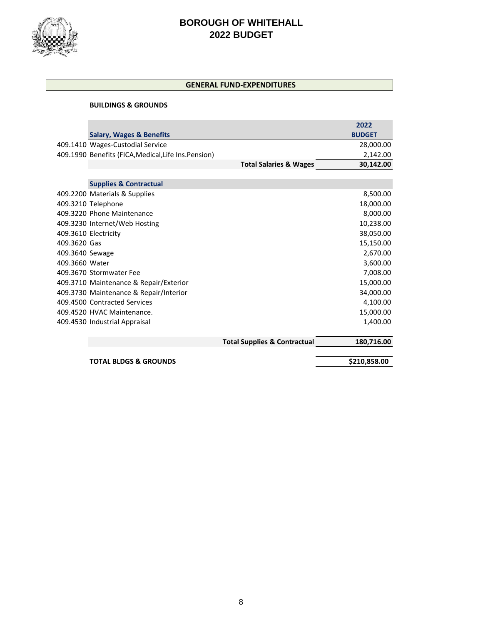

#### **GENERAL FUND-EXPENDITURES**

#### **BUILDINGS & GROUNDS**

|                 | <b>Salary, Wages &amp; Benefits</b>                  |                                         | 2022<br><b>BUDGET</b> |
|-----------------|------------------------------------------------------|-----------------------------------------|-----------------------|
|                 | 409.1410 Wages-Custodial Service                     |                                         | 28,000.00             |
|                 | 409.1990 Benefits (FICA, Medical, Life Ins. Pension) |                                         | 2,142.00              |
|                 |                                                      | <b>Total Salaries &amp; Wages</b>       | 30,142.00             |
|                 |                                                      |                                         |                       |
|                 | <b>Supplies &amp; Contractual</b>                    |                                         |                       |
|                 | 409.2200 Materials & Supplies                        |                                         | 8,500.00              |
|                 | 409.3210 Telephone                                   |                                         | 18,000.00             |
|                 | 409.3220 Phone Maintenance                           |                                         | 8,000.00              |
|                 | 409.3230 Internet/Web Hosting                        |                                         | 10,238.00             |
|                 | 409.3610 Electricity                                 |                                         | 38,050.00             |
| 409.3620 Gas    |                                                      |                                         | 15,150.00             |
| 409.3640 Sewage |                                                      |                                         | 2,670.00              |
| 409.3660 Water  |                                                      |                                         | 3,600.00              |
|                 | 409.3670 Stormwater Fee                              |                                         | 7,008.00              |
|                 | 409.3710 Maintenance & Repair/Exterior               |                                         | 15,000.00             |
|                 | 409.3730 Maintenance & Repair/Interior               |                                         | 34,000.00             |
|                 | 409.4500 Contracted Services                         |                                         | 4,100.00              |
|                 | 409.4520 HVAC Maintenance.                           |                                         | 15,000.00             |
|                 | 409.4530 Industrial Appraisal                        |                                         | 1,400.00              |
|                 |                                                      | <b>Total Supplies &amp; Contractual</b> | 180,716.00            |

**TOTAL BLDGS & GROUNDS \$210,858.00**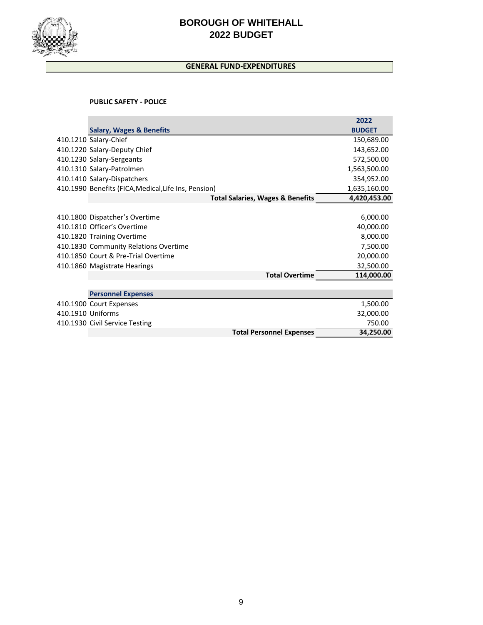

## **GENERAL FUND-EXPENDITURES**

#### **PUBLIC SAFETY - POLICE**

|                   |                                                      | 2022          |
|-------------------|------------------------------------------------------|---------------|
|                   | <b>Salary, Wages &amp; Benefits</b>                  | <b>BUDGET</b> |
|                   | 410.1210 Salary-Chief                                | 150,689.00    |
|                   | 410.1220 Salary-Deputy Chief                         | 143,652.00    |
|                   | 410.1230 Salary-Sergeants                            | 572,500.00    |
|                   | 410.1310 Salary-Patrolmen                            | 1,563,500.00  |
|                   | 410.1410 Salary-Dispatchers                          | 354,952.00    |
|                   | 410.1990 Benefits (FICA, Medical, Life Ins, Pension) | 1,635,160.00  |
|                   | <b>Total Salaries, Wages &amp; Benefits</b>          | 4,420,453.00  |
|                   |                                                      |               |
|                   | 410.1800 Dispatcher's Overtime                       | 6,000.00      |
|                   | 410.1810 Officer's Overtime                          | 40,000.00     |
|                   | 410.1820 Training Overtime                           | 8,000.00      |
|                   | 410.1830 Community Relations Overtime                | 7,500.00      |
|                   | 410.1850 Court & Pre-Trial Overtime                  | 20,000.00     |
|                   | 410.1860 Magistrate Hearings                         | 32,500.00     |
|                   | <b>Total Overtime</b>                                | 114,000.00    |
|                   |                                                      |               |
|                   | <b>Personnel Expenses</b>                            |               |
|                   | 410.1900 Court Expenses                              | 1,500.00      |
| 410.1910 Uniforms |                                                      | 32,000.00     |
|                   | 410.1930 Civil Service Testing                       | 750.00        |
|                   | <b>Total Personnel Expenses</b>                      | 34,250.00     |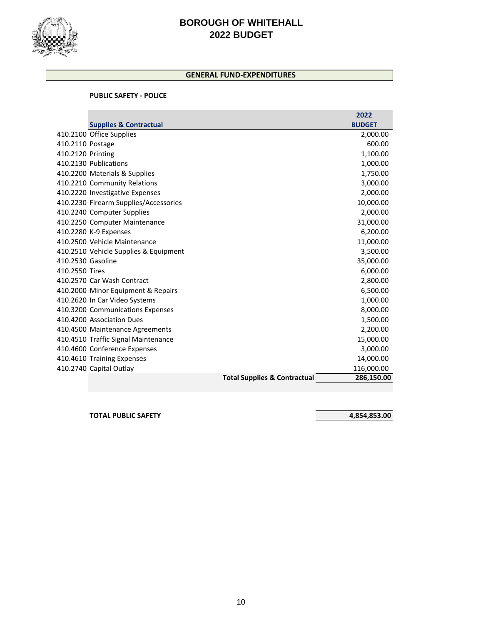

## **GENERAL FUND-EXPENDITURES**

#### **PUBLIC SAFETY - POLICE**

|                   |                                       |                                         | 2022          |
|-------------------|---------------------------------------|-----------------------------------------|---------------|
|                   | <b>Supplies &amp; Contractual</b>     |                                         | <b>BUDGET</b> |
|                   | 410.2100 Office Supplies              |                                         | 2,000.00      |
| 410.2110 Postage  |                                       |                                         | 600.00        |
| 410.2120 Printing |                                       |                                         | 1,100.00      |
|                   | 410.2130 Publications                 |                                         | 1,000.00      |
|                   | 410.2200 Materials & Supplies         |                                         | 1,750.00      |
|                   | 410.2210 Community Relations          |                                         | 3,000.00      |
|                   | 410.2220 Investigative Expenses       |                                         | 2,000.00      |
|                   | 410.2230 Firearm Supplies/Accessories |                                         | 10,000.00     |
|                   | 410.2240 Computer Supplies            |                                         | 2,000.00      |
|                   | 410.2250 Computer Maintenance         |                                         | 31,000.00     |
|                   | 410.2280 K-9 Expenses                 |                                         | 6,200.00      |
|                   | 410.2500 Vehicle Maintenance          |                                         | 11,000.00     |
|                   | 410.2510 Vehicle Supplies & Equipment |                                         | 3,500.00      |
| 410.2530 Gasoline |                                       |                                         | 35,000.00     |
| 410.2550 Tires    |                                       |                                         | 6,000.00      |
|                   | 410.2570 Car Wash Contract            |                                         | 2,800.00      |
|                   | 410.2000 Minor Equipment & Repairs    |                                         | 6,500.00      |
|                   | 410.2620 In Car Video Systems         |                                         | 1,000.00      |
|                   | 410.3200 Communications Expenses      |                                         | 8,000.00      |
|                   | 410.4200 Association Dues             |                                         | 1,500.00      |
|                   | 410.4500 Maintenance Agreements       |                                         | 2,200.00      |
|                   | 410.4510 Traffic Signal Maintenance   |                                         | 15,000.00     |
|                   | 410.4600 Conference Expenses          |                                         | 3,000.00      |
|                   | 410.4610 Training Expenses            |                                         | 14,000.00     |
|                   | 410.2740 Capital Outlay               |                                         | 116,000.00    |
|                   |                                       | <b>Total Supplies &amp; Contractual</b> | 286,150.00    |
|                   |                                       |                                         |               |

**TOTAL PUBLIC SAFETY 4,854,853.00**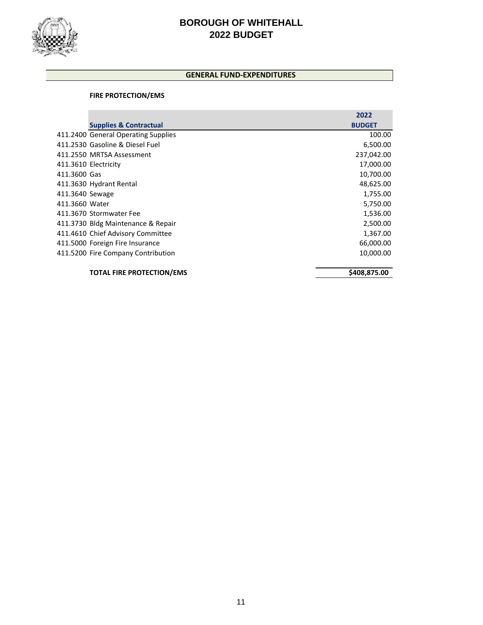

## **GENERAL FUND-EXPENDITURES**

#### **FIRE PROTECTION/EMS**

|                      |                                     | 2022          |
|----------------------|-------------------------------------|---------------|
|                      | <b>Supplies &amp; Contractual</b>   | <b>BUDGET</b> |
|                      | 411.2400 General Operating Supplies | 100.00        |
|                      | 411.2530 Gasoline & Diesel Fuel     | 6,500.00      |
|                      | 411.2550 MRTSA Assessment           | 237,042.00    |
| 411.3610 Electricity |                                     | 17,000.00     |
| 411.3600 Gas         |                                     | 10,700.00     |
|                      | 411.3630 Hydrant Rental             | 48,625.00     |
| 411.3640 Sewage      |                                     | 1,755.00      |
| 411.3660 Water       |                                     | 5,750.00      |
|                      | 411.3670 Stormwater Fee             | 1,536.00      |
|                      | 411.3730 Bldg Maintenance & Repair  | 2,500.00      |
|                      | 411.4610 Chief Advisory Committee   | 1,367.00      |
|                      | 411.5000 Foreign Fire Insurance     | 66,000.00     |
|                      | 411.5200 Fire Company Contribution  | 10,000.00     |
|                      | <b>TOTAL FIRE PROTECTION/EMS</b>    | \$408,875.00  |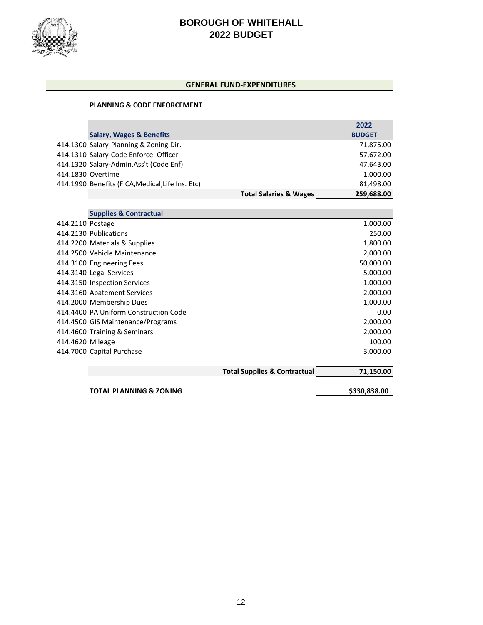

#### **GENERAL FUND-EXPENDITURES**

#### **PLANNING & CODE ENFORCEMENT**

|                                                                                                                                                                                                                                           | 2022          |
|-------------------------------------------------------------------------------------------------------------------------------------------------------------------------------------------------------------------------------------------|---------------|
|                                                                                                                                                                                                                                           | <b>BUDGET</b> |
|                                                                                                                                                                                                                                           | 71,875.00     |
|                                                                                                                                                                                                                                           | 57,672.00     |
|                                                                                                                                                                                                                                           | 47,643.00     |
|                                                                                                                                                                                                                                           | 1,000.00      |
|                                                                                                                                                                                                                                           | 81,498.00     |
| <b>Total Salaries &amp; Wages</b>                                                                                                                                                                                                         | 259,688.00    |
| <b>Salary, Wages &amp; Benefits</b><br>414.1300 Salary-Planning & Zoning Dir.<br>414.1310 Salary-Code Enforce. Officer<br>414.1320 Salary-Admin.Ass't (Code Enf)<br>414.1830 Overtime<br>414.1990 Benefits (FICA, Medical, Life Ins. Etc) |               |

|                  | <b>Supplies &amp; Contractual</b>     |                                         |              |
|------------------|---------------------------------------|-----------------------------------------|--------------|
| 414.2110 Postage |                                       |                                         | 1,000.00     |
|                  | 414.2130 Publications                 |                                         | 250.00       |
|                  | 414.2200 Materials & Supplies         |                                         | 1,800.00     |
|                  | 414.2500 Vehicle Maintenance          |                                         | 2,000.00     |
|                  | 414.3100 Engineering Fees             |                                         | 50,000.00    |
|                  | 414.3140 Legal Services               |                                         | 5,000.00     |
|                  | 414.3150 Inspection Services          |                                         | 1,000.00     |
|                  | 414.3160 Abatement Services           |                                         | 2,000.00     |
|                  | 414.2000 Membership Dues              |                                         | 1,000.00     |
|                  | 414.4400 PA Uniform Construction Code |                                         | 0.00         |
|                  | 414.4500 GIS Maintenance/Programs     |                                         | 2,000.00     |
|                  | 414.4600 Training & Seminars          |                                         | 2,000.00     |
| 414.4620 Mileage |                                       |                                         | 100.00       |
|                  | 414.7000 Capital Purchase             |                                         | 3,000.00     |
|                  |                                       | <b>Total Supplies &amp; Contractual</b> | 71,150.00    |
|                  | <b>TOTAL PLANNING &amp; ZONING</b>    |                                         | \$330,838.00 |

12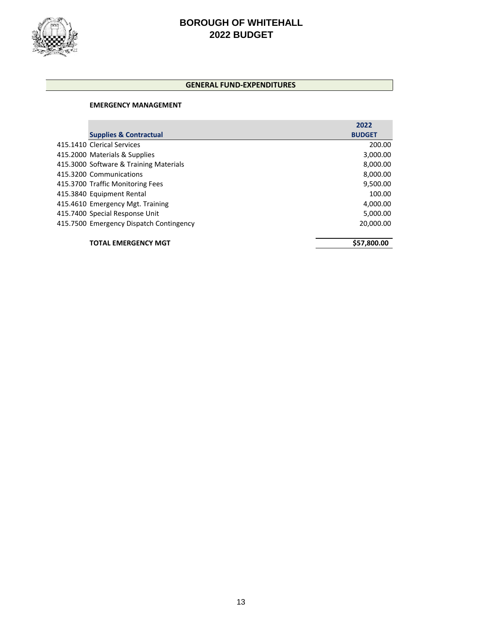

#### **GENERAL FUND-EXPENDITURES**

#### **EMERGENCY MANAGEMENT**

|                                         | 2022          |
|-----------------------------------------|---------------|
| <b>Supplies &amp; Contractual</b>       | <b>BUDGET</b> |
| 415.1410 Clerical Services              | 200.00        |
| 415.2000 Materials & Supplies           | 3,000.00      |
| 415.3000 Software & Training Materials  | 8,000.00      |
| 415.3200 Communications                 | 8,000.00      |
| 415.3700 Traffic Monitoring Fees        | 9,500.00      |
| 415.3840 Equipment Rental               | 100.00        |
| 415.4610 Emergency Mgt. Training        | 4,000.00      |
| 415.7400 Special Response Unit          | 5,000.00      |
| 415.7500 Emergency Dispatch Contingency | 20,000.00     |

**TOTAL EMERGENCY MGT \$57,800.00**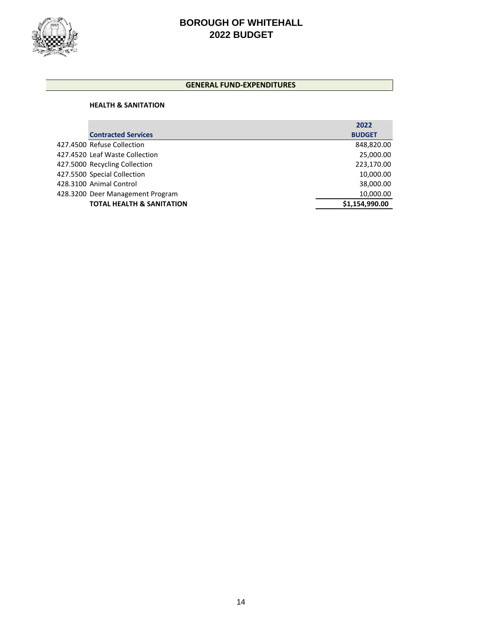

#### **GENERAL FUND-EXPENDITURES**

#### **HEALTH & SANITATION**

|                                      | 2022           |
|--------------------------------------|----------------|
| <b>Contracted Services</b>           | <b>BUDGET</b>  |
| 427.4500 Refuse Collection           | 848,820.00     |
| 427.4520 Leaf Waste Collection       | 25,000.00      |
| 427.5000 Recycling Collection        | 223,170.00     |
| 427.5500 Special Collection          | 10,000.00      |
| 428.3100 Animal Control              | 38,000.00      |
| 428.3200 Deer Management Program     | 10,000.00      |
| <b>TOTAL HEALTH &amp; SANITATION</b> | \$1,154,990.00 |
|                                      |                |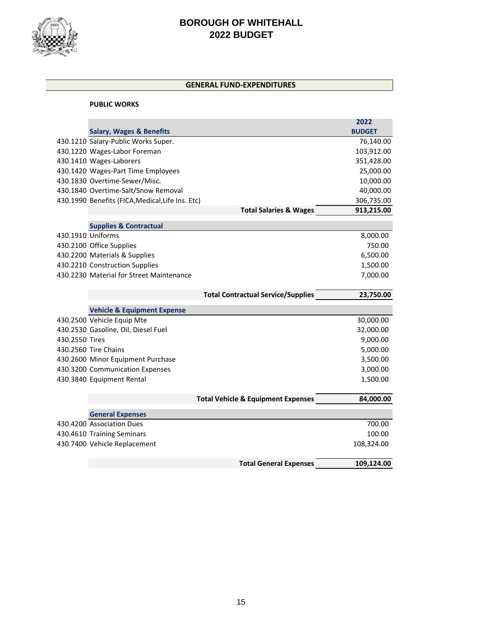

## **GENERAL FUND-EXPENDITURES**

#### **PUBLIC WORKS**

|                   |                                                  |                                               | 2022          |
|-------------------|--------------------------------------------------|-----------------------------------------------|---------------|
|                   | <b>Salary, Wages &amp; Benefits</b>              |                                               | <b>BUDGET</b> |
|                   | 430.1210 Salary-Public Works Super.              |                                               | 76,140.00     |
|                   | 430.1220 Wages-Labor Foreman                     |                                               | 103,912.00    |
|                   | 430.1410 Wages-Laborers                          |                                               | 351,428.00    |
|                   | 430.1420 Wages-Part Time Employees               |                                               | 25,000.00     |
|                   | 430.1830 Overtime-Sewer/Misc.                    |                                               | 10,000.00     |
|                   | 430.1840 Overtime-Salt/Snow Removal              |                                               | 40,000.00     |
|                   | 430.1990 Benefits (FICA, Medical, Life Ins. Etc) |                                               | 306,735.00    |
|                   |                                                  | <b>Total Salaries &amp; Wages</b>             | 913,215.00    |
|                   | <b>Supplies &amp; Contractual</b>                |                                               |               |
| 430.1910 Uniforms |                                                  |                                               | 8,000.00      |
|                   | 430.2100 Office Supplies                         |                                               | 750.00        |
|                   | 430.2200 Materials & Supplies                    |                                               | 6,500.00      |
|                   | 430.2210 Construction Supplies                   |                                               | 1,500.00      |
|                   | 430.2230 Material for Street Maintenance         |                                               | 7,000.00      |
|                   |                                                  |                                               |               |
|                   |                                                  | <b>Total Contractual Service/Supplies</b>     | 23,750.00     |
|                   | <b>Vehicle &amp; Equipment Expense</b>           |                                               |               |
|                   | 430.2500 Vehicle Equip Mte                       |                                               | 30,000.00     |
|                   | 430.2530 Gasoline, Oil, Diesel Fuel              |                                               | 32,000.00     |
| 430.2550 Tires    |                                                  |                                               | 9,000.00      |
|                   | 430.2560 Tire Chains                             |                                               | 5,000.00      |
|                   | 430.2600 Minor Equipment Purchase                |                                               | 3,500.00      |
|                   | 430.3200 Communication Expenses                  |                                               | 3,000.00      |
|                   | 430.3840 Equipment Rental                        |                                               | 1,500.00      |
|                   |                                                  |                                               |               |
|                   |                                                  | <b>Total Vehicle &amp; Equipment Expenses</b> | 84,000.00     |
|                   | <b>General Expenses</b>                          |                                               |               |
|                   | 430.4200 Association Dues                        |                                               | 700.00        |
|                   | 430.4610 Training Seminars                       |                                               | 100.00        |
|                   | 430.7400 Vehicle Replacement                     |                                               | 108,324.00    |
|                   |                                                  | <b>Total General Expenses</b>                 | 109,124.00    |
|                   |                                                  |                                               |               |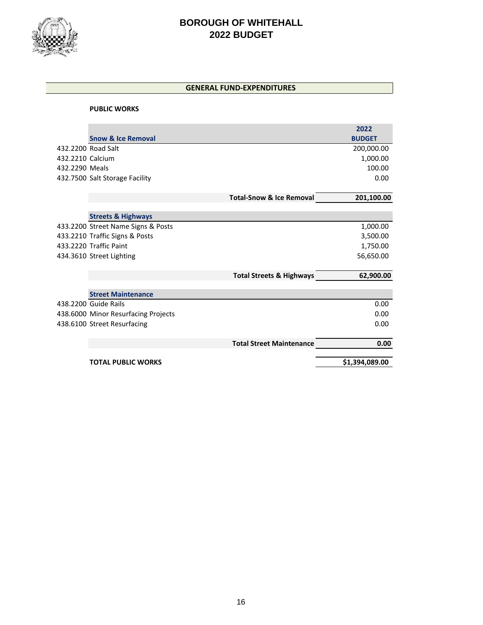

## **GENERAL FUND-EXPENDITURES**

#### **PUBLIC WORKS**

|                  |                                     |                                     | 2022           |
|------------------|-------------------------------------|-------------------------------------|----------------|
|                  | <b>Snow &amp; Ice Removal</b>       |                                     | <b>BUDGET</b>  |
|                  | 432.2200 Road Salt                  |                                     | 200,000.00     |
| 432.2210 Calcium |                                     |                                     | 1,000.00       |
| 432.2290 Meals   |                                     |                                     | 100.00         |
|                  | 432.7500 Salt Storage Facility      |                                     | 0.00           |
|                  |                                     |                                     |                |
|                  |                                     | <b>Total-Snow &amp; Ice Removal</b> | 201,100.00     |
|                  |                                     |                                     |                |
|                  | <b>Streets &amp; Highways</b>       |                                     |                |
|                  | 433.2200 Street Name Signs & Posts  |                                     | 1,000.00       |
|                  | 433.2210 Traffic Signs & Posts      |                                     | 3,500.00       |
|                  | 433.2220 Traffic Paint              |                                     | 1,750.00       |
|                  | 434.3610 Street Lighting            |                                     | 56,650.00      |
|                  |                                     |                                     |                |
|                  |                                     | <b>Total Streets &amp; Highways</b> | 62,900.00      |
|                  |                                     |                                     |                |
|                  | <b>Street Maintenance</b>           |                                     |                |
|                  | 438.2200 Guide Rails                |                                     | 0.00           |
|                  | 438.6000 Minor Resurfacing Projects |                                     | 0.00           |
|                  | 438.6100 Street Resurfacing         |                                     | 0.00           |
|                  |                                     |                                     |                |
|                  |                                     | <b>Total Street Maintenance</b>     | 0.00           |
|                  | <b>TOTAL PUBLIC WORKS</b>           |                                     | \$1,394,089.00 |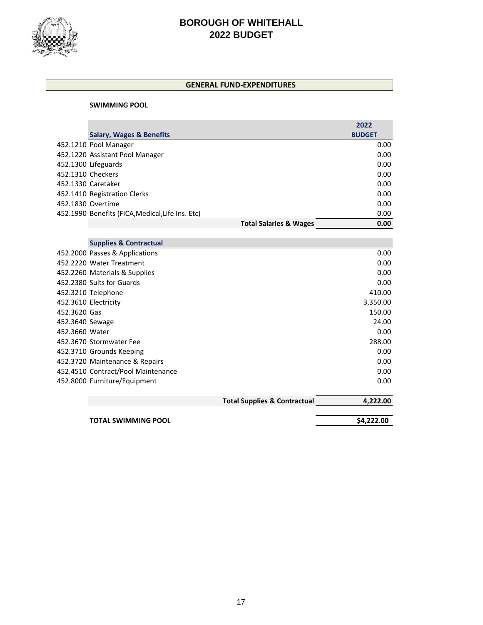

#### **GENERAL FUND-EXPENDITURES**

#### **SWIMMING POOL**

|                   |                                                  |                                         | 2022          |
|-------------------|--------------------------------------------------|-----------------------------------------|---------------|
|                   | <b>Salary, Wages &amp; Benefits</b>              |                                         | <b>BUDGET</b> |
|                   | 452.1210 Pool Manager                            |                                         | 0.00          |
|                   | 452.1220 Assistant Pool Manager                  |                                         | 0.00          |
|                   | 452.1300 Lifeguards                              |                                         | 0.00          |
| 452.1310 Checkers |                                                  |                                         | 0.00          |
|                   | 452.1330 Caretaker                               |                                         | 0.00          |
|                   | 452.1410 Registration Clerks                     |                                         | 0.00          |
|                   | 452.1830 Overtime                                |                                         | 0.00          |
|                   | 452.1990 Benefits (FICA, Medical, Life Ins. Etc) |                                         | 0.00          |
|                   |                                                  | <b>Total Salaries &amp; Wages</b>       | 0.00          |
|                   |                                                  |                                         |               |
|                   | <b>Supplies &amp; Contractual</b>                |                                         |               |
|                   | 452.2000 Passes & Applications                   |                                         | 0.00          |
|                   | 452.2220 Water Treatment                         |                                         | 0.00          |
|                   | 452.2260 Materials & Supplies                    |                                         | 0.00          |
|                   | 452.2380 Suits for Guards                        |                                         | 0.00          |
|                   | 452.3210 Telephone                               |                                         | 410.00        |
|                   | 452.3610 Electricity                             |                                         | 3,350.00      |
| 452.3620 Gas      |                                                  |                                         | 150.00        |
| 452.3640 Sewage   |                                                  |                                         | 24.00         |
| 452.3660 Water    |                                                  |                                         | 0.00          |
|                   | 452.3670 Stormwater Fee                          |                                         | 288.00        |
|                   | 452.3710 Grounds Keeping                         |                                         | 0.00          |
|                   | 452.3720 Maintenance & Repairs                   |                                         | 0.00          |
|                   | 452.4510 Contract/Pool Maintenance               |                                         | 0.00          |
|                   | 452.8000 Furniture/Equipment                     |                                         | 0.00          |
|                   |                                                  | <b>Total Supplies &amp; Contractual</b> | 4,222.00      |
|                   | <b>TOTAL SWIMMING POOL</b>                       |                                         | \$4,222.00    |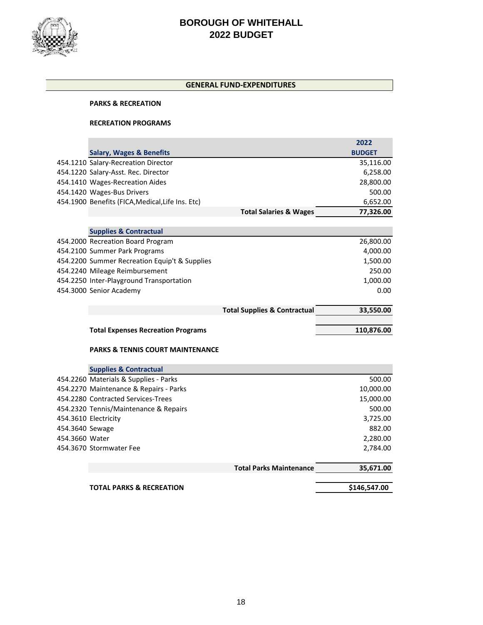

#### **GENERAL FUND-EXPENDITURES**

#### **PARKS & RECREATION**

#### **RECREATION PROGRAMS**

|                 |                                                                                 |                                         | 2022          |
|-----------------|---------------------------------------------------------------------------------|-----------------------------------------|---------------|
|                 | <b>Salary, Wages &amp; Benefits</b>                                             |                                         | <b>BUDGET</b> |
|                 | 454.1210 Salary-Recreation Director                                             |                                         | 35,116.00     |
|                 | 454.1220 Salary-Asst. Rec. Director                                             |                                         | 6,258.00      |
|                 | 454.1410 Wages-Recreation Aides                                                 |                                         | 28,800.00     |
|                 | 454.1420 Wages-Bus Drivers                                                      |                                         | 500.00        |
|                 | 454.1900 Benefits (FICA, Medical, Life Ins. Etc)                                |                                         | 6,652.00      |
|                 |                                                                                 | <b>Total Salaries &amp; Wages</b>       | 77,326.00     |
|                 |                                                                                 |                                         |               |
|                 | <b>Supplies &amp; Contractual</b>                                               |                                         |               |
|                 | 454.2000 Recreation Board Program                                               |                                         | 26,800.00     |
|                 | 454.2100 Summer Park Programs                                                   |                                         | 4,000.00      |
|                 | 454.2200 Summer Recreation Equip't & Supplies                                   |                                         | 1,500.00      |
|                 | 454.2240 Mileage Reimbursement                                                  |                                         | 250.00        |
|                 | 454.2250 Inter-Playground Transportation                                        |                                         | 1,000.00      |
|                 | 454.3000 Senior Academy                                                         |                                         | 0.00          |
|                 |                                                                                 |                                         |               |
|                 |                                                                                 | <b>Total Supplies &amp; Contractual</b> | 33,550.00     |
|                 |                                                                                 |                                         |               |
|                 |                                                                                 |                                         |               |
|                 | <b>Total Expenses Recreation Programs</b>                                       |                                         | 110,876.00    |
|                 |                                                                                 |                                         |               |
|                 | <b>PARKS &amp; TENNIS COURT MAINTENANCE</b>                                     |                                         |               |
|                 |                                                                                 |                                         |               |
|                 | <b>Supplies &amp; Contractual</b>                                               |                                         | 500.00        |
|                 | 454.2260 Materials & Supplies - Parks<br>454.2270 Maintenance & Repairs - Parks |                                         | 10,000.00     |
|                 | 454.2280 Contracted Services-Trees                                              |                                         | 15,000.00     |
|                 | 454.2320 Tennis/Maintenance & Repairs                                           |                                         | 500.00        |
|                 | 454.3610 Electricity                                                            |                                         | 3,725.00      |
| 454.3640 Sewage |                                                                                 |                                         | 882.00        |
| 454.3660 Water  |                                                                                 |                                         | 2,280.00      |
|                 | 454.3670 Stormwater Fee                                                         |                                         | 2,784.00      |
|                 |                                                                                 |                                         |               |
|                 |                                                                                 | <b>Total Parks Maintenance</b>          | 35,671.00     |
|                 | <b>TOTAL PARKS &amp; RECREATION</b>                                             |                                         | \$146,547.00  |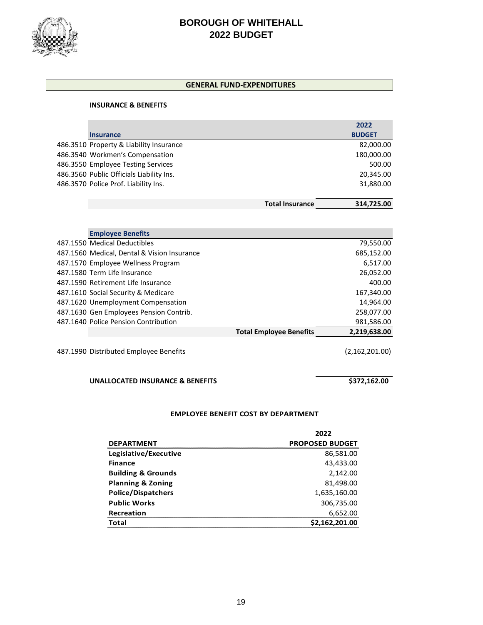

#### **GENERAL FUND-EXPENDITURES**

#### **INSURANCE & BENEFITS**

|                                          |                        | 2022          |
|------------------------------------------|------------------------|---------------|
| <b>Insurance</b>                         |                        | <b>BUDGET</b> |
| 486.3510 Property & Liability Insurance  |                        | 82,000.00     |
| 486.3540 Workmen's Compensation          |                        | 180,000.00    |
| 486.3550 Employee Testing Services       |                        | 500.00        |
| 486.3560 Public Officials Liability Ins. |                        | 20,345.00     |
| 486.3570 Police Prof. Liability Ins.     |                        | 31,880.00     |
|                                          |                        |               |
|                                          | <b>Total Insurance</b> | 314.725.00    |

| <b>Employee Benefits</b>                    |                                |                  |
|---------------------------------------------|--------------------------------|------------------|
| 487.1550 Medical Deductibles                |                                | 79,550.00        |
| 487.1560 Medical, Dental & Vision Insurance |                                | 685,152.00       |
| 487.1570 Employee Wellness Program          |                                | 6,517.00         |
| 487.1580 Term Life Insurance                |                                | 26,052.00        |
| 487.1590 Retirement Life Insurance          |                                | 400.00           |
| 487.1610 Social Security & Medicare         |                                | 167,340.00       |
| 487.1620 Unemployment Compensation          |                                | 14,964.00        |
| 487.1630 Gen Employees Pension Contrib.     |                                | 258,077.00       |
| 487.1640 Police Pension Contribution        |                                | 981,586.00       |
|                                             | <b>Total Employee Benefits</b> | 2,219,638.00     |
| 487.1990 Distributed Employee Benefits      |                                | (2, 162, 201.00) |

## **UNALLOCATED INSURANCE & BENEFITS** \$372,162.00

#### **EMPLOYEE BENEFIT COST BY DEPARTMENT**

|                               | 2022                   |
|-------------------------------|------------------------|
| <b>DEPARTMENT</b>             | <b>PROPOSED BUDGET</b> |
| Legislative/Executive         | 86,581.00              |
| <b>Finance</b>                | 43,433.00              |
| <b>Building &amp; Grounds</b> | 2,142.00               |
| <b>Planning &amp; Zoning</b>  | 81,498.00              |
| <b>Police/Dispatchers</b>     | 1,635,160.00           |
| <b>Public Works</b>           | 306,735.00             |
| <b>Recreation</b>             | 6,652.00               |
| Total                         | \$2,162,201.00         |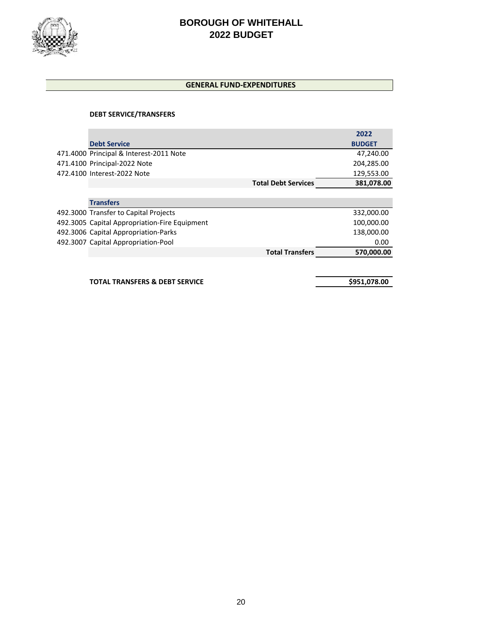

## **GENERAL FUND-EXPENDITURES**

## **DEBT SERVICE/TRANSFERS**

|                                               |                            | 2022          |
|-----------------------------------------------|----------------------------|---------------|
| <b>Debt Service</b>                           |                            | <b>BUDGET</b> |
| 471.4000 Principal & Interest-2011 Note       |                            | 47,240.00     |
| 471.4100 Principal-2022 Note                  |                            | 204,285.00    |
| 472.4100 Interest-2022 Note                   |                            | 129,553.00    |
|                                               | <b>Total Debt Services</b> | 381,078.00    |
|                                               |                            |               |
| <b>Transfers</b>                              |                            |               |
| 492.3000 Transfer to Capital Projects         |                            | 332,000.00    |
| 492.3005 Capital Appropriation-Fire Equipment |                            | 100,000.00    |
| 492.3006 Capital Appropriation-Parks          |                            | 138,000.00    |
| 492.3007 Capital Appropriation-Pool           |                            | 0.00          |
|                                               | <b>Total Transfers</b>     | 570,000.00    |
|                                               |                            |               |
|                                               |                            |               |

**TOTAL TRANSFERS & DEBT SERVICE \$951,078.00**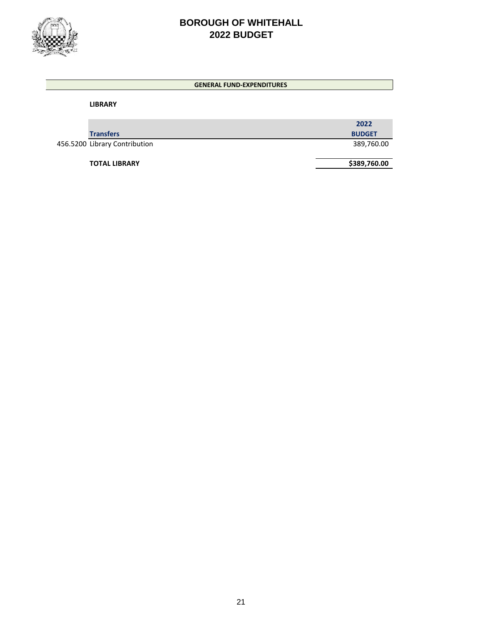

#### **GENERAL FUND-EXPENDITURES**

**LIBRARY** 

|                               | 2022          |
|-------------------------------|---------------|
| <b>Transfers</b>              | <b>BUDGET</b> |
| 456.5200 Library Contribution | 389,760.00    |

**TOTAL LIBRARY \$389,760.00**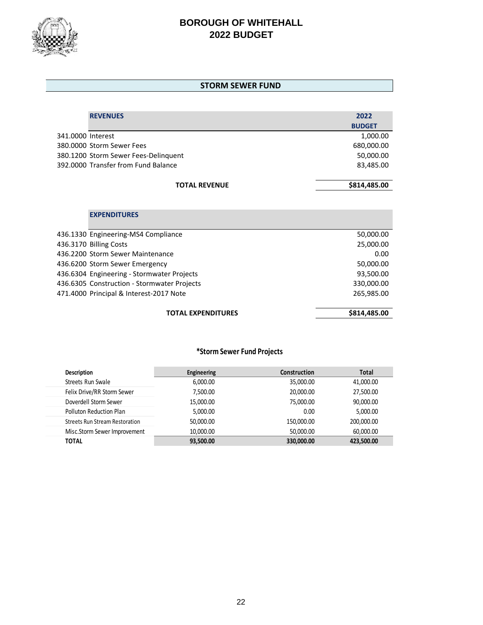

#### **STORM SEWER FUND**

| <b>REVENUES</b>                      | 2022          |
|--------------------------------------|---------------|
|                                      | <b>BUDGET</b> |
| 341.0000 Interest                    | 1,000.00      |
| 380,0000 Storm Sewer Fees            | 680,000.00    |
| 380.1200 Storm Sewer Fees-Delinguent | 50,000.00     |
| 392,0000 Transfer from Fund Balance  | 83,485.00     |
|                                      |               |
| <b>TOTAL REVENUE</b>                 | \$814,485.00  |

## **EXPENDITURES**

| <b>TOTAL EXPENDITURES</b>                   | \$814,485.00 |
|---------------------------------------------|--------------|
| 471.4000 Principal & Interest-2017 Note     | 265,985.00   |
| 436.6305 Construction - Stormwater Projects | 330,000.00   |
| 436.6304 Engineering - Stormwater Projects  | 93,500.00    |
| 436.6200 Storm Sewer Emergency              | 50,000.00    |
| 436.2200 Storm Sewer Maintenance            | 0.00         |
| 436.3170 Billing Costs                      | 25,000.00    |
| 436.1330 Engineering-MS4 Compliance         | 50,000.00    |
|                                             |              |

## **\*Storm Sewer Fund Projects**

| <b>Description</b>                    | Engineering | <b>Construction</b> | <b>Total</b> |
|---------------------------------------|-------------|---------------------|--------------|
| Streets Run Swale                     | 6,000.00    | 35,000.00           | 41,000.00    |
| Felix Drive/RR Storm Sewer            | 7,500.00    | 20,000.00           | 27,500.00    |
| Doverdell Storm Sewer                 | 15,000.00   | 75,000.00           | 90,000.00    |
| Polluton Reduction Plan               | 5,000.00    | 0.00                | 5,000.00     |
| <b>Streets Run Stream Restoration</b> | 50,000.00   | 150,000,00          | 200,000.00   |
| Misc.Storm Sewer Improvement          | 10,000.00   | 50,000.00           | 60,000.00    |
| <b>TOTAL</b>                          | 93,500.00   | 330,000.00          | 423,500.00   |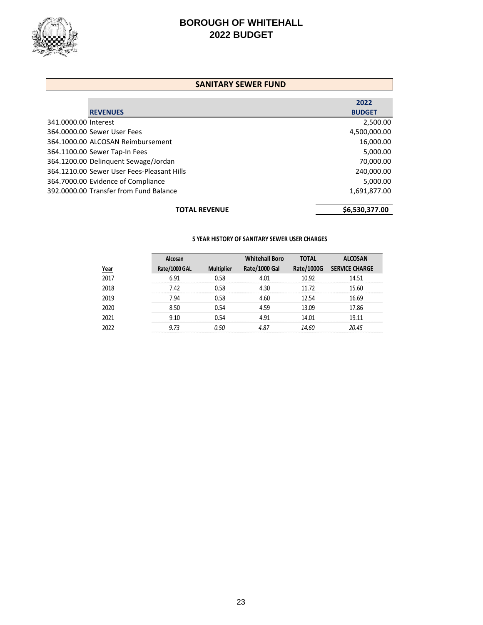

#### **SANITARY SEWER FUND**

|                      |                                            | 2022           |
|----------------------|--------------------------------------------|----------------|
|                      | <b>REVENUES</b>                            | <b>BUDGET</b>  |
| 341.0000.00 Interest |                                            | 2,500.00       |
|                      | 364,0000.00 Sewer User Fees                | 4,500,000.00   |
|                      | 364.1000.00 ALCOSAN Reimbursement          | 16,000.00      |
|                      | 364.1100.00 Sewer Tap-In Fees              | 5,000.00       |
|                      | 364.1200.00 Delinquent Sewage/Jordan       | 70,000.00      |
|                      | 364.1210.00 Sewer User Fees-Pleasant Hills | 240,000.00     |
|                      | 364.7000.00 Evidence of Compliance         | 5,000.00       |
|                      | 392.0000.00 Transfer from Fund Balance     | 1,691,877.00   |
|                      | <b>TOTAL REVENUE</b>                       | \$6,530,377.00 |

#### **5 YEAR HISTORY OF SANITARY SEWER USER CHARGES**

|             | Alcosan       |                   | <b>Whitehall Boro</b> | <b>TOTAL</b> | <b>ALCOSAN</b>        |
|-------------|---------------|-------------------|-----------------------|--------------|-----------------------|
| <u>Year</u> | Rate/1000 GAL | <b>Multiplier</b> | Rate/1000 Gal         | Rate/1000G   | <b>SERVICE CHARGE</b> |
| 2017        | 6.91          | 0.58              | 4.01                  | 10.92        | 14.51                 |
| 2018        | 7.42          | 0.58              | 430                   | 11.72        | 15.60                 |
| 2019        | 7.94          | 0.58              | 4.60                  | 12.54        | 16.69                 |
| 2020        | 8.50          | 0.54              | 459                   | 13.09        | 17.86                 |
| 2021        | 9.10          | 0.54              | 4 91                  | 14.01        | 19.11                 |
| 2022        | 9.73          | 0.50              | 4.87                  | 14.60        | 20.45                 |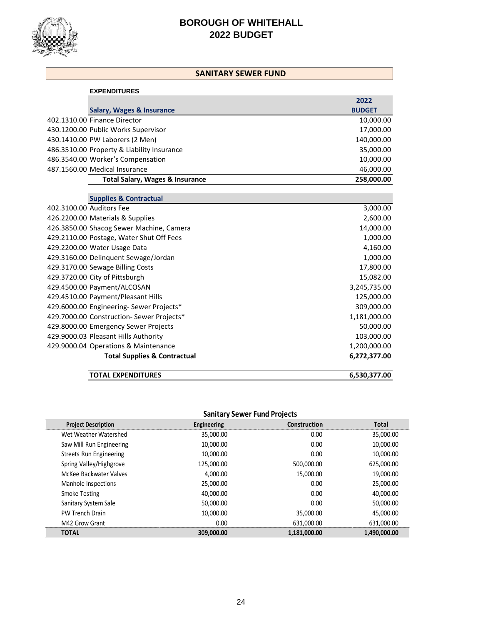

## **SANITARY SEWER FUND**

| <b>EXPENDITURES</b>                        |               |
|--------------------------------------------|---------------|
|                                            | 2022          |
| Salary, Wages & Insurance                  | <b>BUDGET</b> |
| 402.1310.00 Finance Director               | 10,000.00     |
| 430.1200.00 Public Works Supervisor        | 17,000.00     |
| 430.1410.00 PW Laborers (2 Men)            | 140,000.00    |
| 486.3510.00 Property & Liability Insurance | 35,000.00     |
| 486.3540.00 Worker's Compensation          | 10,000.00     |
| 487.1560.00 Medical Insurance              | 46,000.00     |
| <b>Total Salary, Wages &amp; Insurance</b> | 258,000.00    |

|                          | <b>Supplies &amp; Contractual</b>         |              |
|--------------------------|-------------------------------------------|--------------|
| 402.3100.00 Auditors Fee |                                           | 3,000.00     |
|                          | 426.2200.00 Materials & Supplies          | 2,600.00     |
|                          | 426.3850.00 Shacog Sewer Machine, Camera  | 14,000.00    |
|                          | 429.2110.00 Postage, Water Shut Off Fees  | 1,000.00     |
|                          | 429.2200.00 Water Usage Data              | 4,160.00     |
|                          | 429.3160.00 Delinguent Sewage/Jordan      | 1,000.00     |
|                          | 429.3170.00 Sewage Billing Costs          | 17,800.00    |
|                          | 429.3720.00 City of Pittsburgh            | 15,082.00    |
|                          | 429.4500.00 Payment/ALCOSAN               | 3,245,735.00 |
|                          | 429.4510.00 Payment/Pleasant Hills        | 125,000.00   |
|                          | 429.6000.00 Engineering- Sewer Projects*  | 309,000.00   |
|                          | 429.7000.00 Construction- Sewer Projects* | 1,181,000.00 |
|                          | 429.8000.00 Emergency Sewer Projects      | 50,000.00    |
|                          | 429.9000.03 Pleasant Hills Authority      | 103,000.00   |
|                          | 429.9000.04 Operations & Maintenance      | 1,200,000.00 |
|                          | <b>Total Supplies &amp; Contractual</b>   | 6,272,377.00 |
|                          | <b>TOTAL EXPENDITURES</b>                 | 6,530,377.00 |

## **Sanitary Sewer Fund Projects**

| <b>Project Description</b> | Engineering | Construction | <b>Total</b> |
|----------------------------|-------------|--------------|--------------|
| Wet Weather Watershed      | 35,000.00   | 0.00         | 35,000.00    |
| Saw Mill Run Engineering   | 10,000.00   | 0.00         | 10,000.00    |
| Streets Run Engineering    | 10,000.00   | 0.00         | 10,000.00    |
| Spring Valley/Highgrove    | 125,000.00  | 500.000.00   | 625,000.00   |
| McKee Backwater Valves     | 4.000.00    | 15,000.00    | 19,000.00    |
| Manhole Inspections        | 25,000.00   | 0.00         | 25,000.00    |
| Smoke Testing              | 40,000.00   | 0.00         | 40,000.00    |
| Sanitary System Sale       | 50,000.00   | 0.00         | 50,000.00    |
| <b>PW Trench Drain</b>     | 10,000.00   | 35,000.00    | 45,000.00    |
| M42 Grow Grant             | 0.00        | 631,000.00   | 631,000.00   |
| <b>TOTAL</b>               | 309,000,00  | 1,181,000.00 | 1,490,000.00 |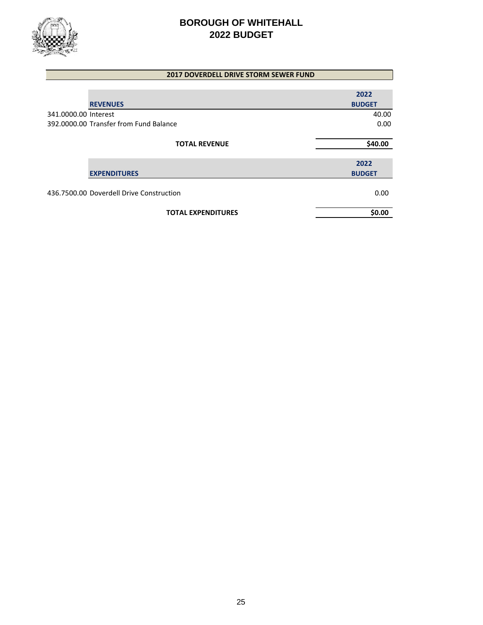

| <b>2017 DOVERDELL DRIVE STORM SEWER FUND</b> |                       |
|----------------------------------------------|-----------------------|
|                                              |                       |
| <b>REVENUES</b>                              | 2022<br><b>BUDGET</b> |
| 341.0000.00 Interest                         | 40.00                 |
| 392,0000.00 Transfer from Fund Balance       | 0.00                  |
|                                              |                       |
| <b>TOTAL REVENUE</b>                         | \$40.00               |
|                                              | 2022                  |
| <b>EXPENDITURES</b>                          | <b>BUDGET</b>         |
| 436.7500.00 Doverdell Drive Construction     | 0.00                  |
| <b>TOTAL EXPENDITURES</b>                    | \$0.00                |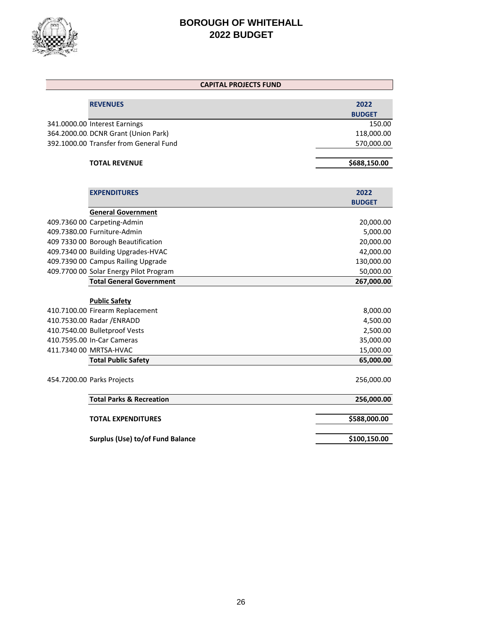

| <b>CAPITAL PROJECTS FUND</b>           |               |
|----------------------------------------|---------------|
|                                        |               |
| <b>REVENUES</b>                        | 2022          |
|                                        | <b>BUDGET</b> |
| 341.0000.00 Interest Earnings          | 150.00        |
| 364.2000.00. DCNR Grant (Union Park)   | 118,000.00    |
| 392.1000.00 Transfer from General Fund | 570,000.00    |
| <b>TOTAL REVENUE</b>                   | \$688,150.00  |
|                                        |               |
| <b>EXPENDITURES</b>                    | 2022          |
|                                        | <b>BUDGET</b> |
| <b>General Government</b>              |               |
| 409.7360 00 Carpeting-Admin            | 20,000.00     |
| 409.7380.00 Furniture-Admin            | 5,000.00      |
| 409 7330 00 Borough Beautification     | 20,000.00     |
| 409.7340 00 Building Upgrades-HVAC     | 42,000.00     |
| 409.7390 00 Campus Railing Upgrade     | 130,000.00    |
| 409.7700 00 Solar Energy Pilot Program | 50,000.00     |
| <b>Total General Government</b>        | 267,000.00    |
| <b>Public Safety</b>                   |               |
| 410.7100.00 Firearm Replacement        | 8,000.00      |
| 410.7530.00 Radar / ENRADD             | 4,500.00      |
| 410.7540.00 Bulletproof Vests          | 2,500.00      |
| 410.7595.00 In-Car Cameras             | 35,000.00     |
| 411.7340 00 MRTSA-HVAC                 | 15,000.00     |
| <b>Total Public Safety</b>             | 65,000.00     |
|                                        |               |
| 454.7200.00 Parks Projects             | 256,000.00    |
| <b>Total Parks &amp; Recreation</b>    | 256,000.00    |
| <b>TOTAL EXPENDITURES</b>              | \$588,000.00  |
|                                        |               |
| Surplus (Use) to/of Fund Balance       | \$100,150.00  |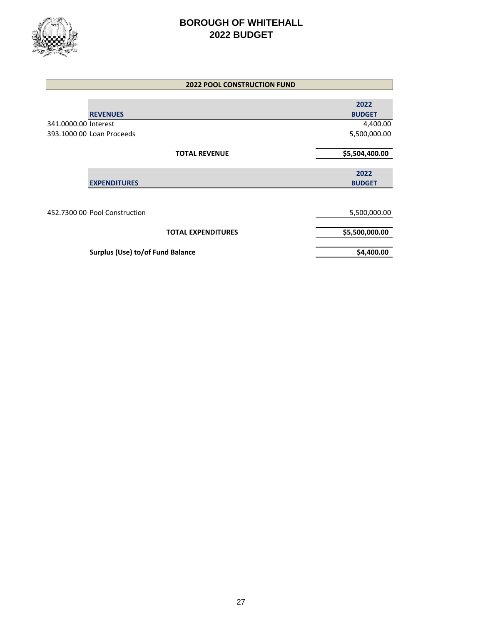

| <b>2022 POOL CONSTRUCTION FUND</b> |                |  |  |
|------------------------------------|----------------|--|--|
|                                    |                |  |  |
|                                    | 2022           |  |  |
| <b>REVENUES</b>                    | <b>BUDGET</b>  |  |  |
| 341.0000.00 Interest               | 4,400.00       |  |  |
| 393.1000 00 Loan Proceeds          | 5,500,000.00   |  |  |
|                                    |                |  |  |
| <b>TOTAL REVENUE</b>               | \$5,504,400.00 |  |  |
|                                    |                |  |  |
|                                    | 2022           |  |  |
| <b>EXPENDITURES</b>                | <b>BUDGET</b>  |  |  |
|                                    |                |  |  |
|                                    |                |  |  |
| 452.7300 00 Pool Construction      | 5,500,000.00   |  |  |
|                                    |                |  |  |
| <b>TOTAL EXPENDITURES</b>          | \$5,500,000.00 |  |  |
|                                    |                |  |  |
| Surplus (Use) to/of Fund Balance   | \$4,400.00     |  |  |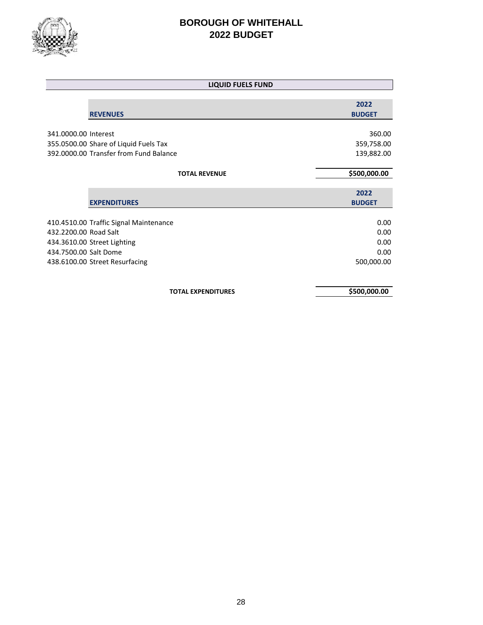

| <b>LIQUID FUELS FUND</b>               |                       |
|----------------------------------------|-----------------------|
| <b>REVENUES</b>                        | 2022<br><b>BUDGET</b> |
|                                        |                       |
| 341.0000.00 Interest                   | 360.00                |
| 355.0500.00 Share of Liquid Fuels Tax  | 359,758.00            |
| 392.0000.00 Transfer from Fund Balance | 139,882.00            |
| <b>TOTAL REVENUE</b>                   | \$500,000.00          |
| <b>EXPENDITURES</b>                    | 2022<br><b>BUDGET</b> |
|                                        |                       |
| 410.4510.00 Traffic Signal Maintenance | 0.00                  |
| 432.2200.00 Road Salt                  | 0.00                  |
| 434.3610.00 Street Lighting            | 0.00                  |
| 434.7500.00 Salt Dome                  | 0.00                  |
| 438.6100.00 Street Resurfacing         | 500,000.00            |
| <b>TOTAL EXPENDITURES</b>              | \$500,000.00          |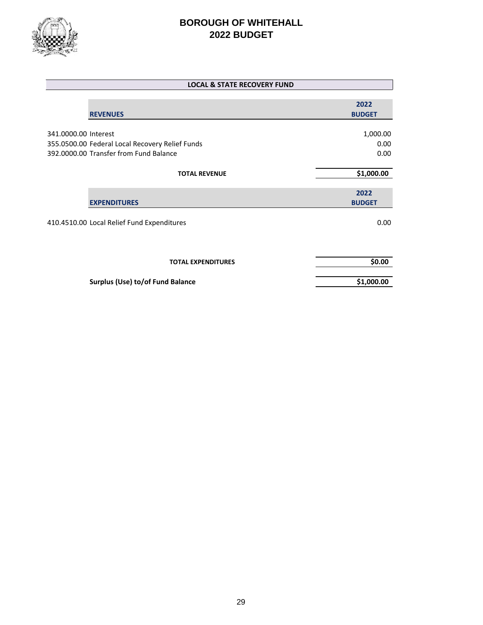

|                      | <b>LOCAL &amp; STATE RECOVERY FUND</b>          |                       |
|----------------------|-------------------------------------------------|-----------------------|
|                      | <b>REVENUES</b>                                 | 2022<br><b>BUDGET</b> |
|                      |                                                 |                       |
| 341.0000.00 Interest |                                                 | 1,000.00              |
|                      | 355.0500.00 Federal Local Recovery Relief Funds | 0.00                  |
|                      | 392.0000.00 Transfer from Fund Balance          | 0.00                  |
|                      |                                                 |                       |
|                      | <b>TOTAL REVENUE</b>                            | \$1,000.00            |
|                      |                                                 | 2022                  |
|                      | <b>EXPENDITURES</b>                             | <b>BUDGET</b>         |
|                      | 410.4510.00 Local Relief Fund Expenditures      | 0.00                  |
|                      | <b>TOTAL EXPENDITURES</b>                       | \$0.00                |
|                      | Surplus (Use) to/of Fund Balance                | \$1,000.00            |
|                      |                                                 |                       |